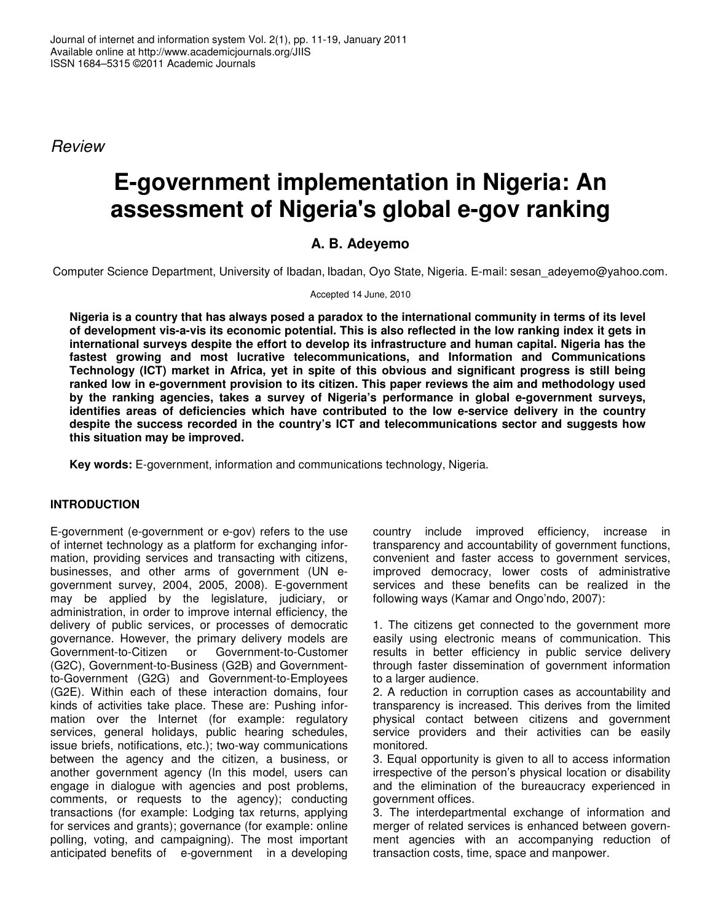*Review*

# **E-government implementation in Nigeria: An assessment of Nigeria's global e-gov ranking**

## **A. B. Adeyemo**

Computer Science Department, University of Ibadan, Ibadan, Oyo State, Nigeria. E-mail: sesan\_adeyemo@yahoo.com.

Accepted 14 June, 2010

Nigeria is a country that has always posed a paradox to the international community in terms of its level of development vis-a-vis its economic potential. This is also reflected in the low ranking index it gets in **international surveys despite the effort to develop its infrastructure and human capital. Nigeria has the fastest growing and most lucrative telecommunications, and Information and Communications Technology (ICT) market in Africa, yet in spite of this obvious and significant progress is still being ranked low in e-government provision to its citizen. This paper reviews the aim and methodology used by the ranking agencies, takes a survey of Nigeria's performance in global e-government surveys, identifies areas of deficiencies which have contributed to the low e-service delivery in the country despite the success recorded in the country's ICT and telecommunications sector and suggests how this situation may be improved.**

**Key words:** E-government, information and communications technology, Nigeria.

### **INTRODUCTION**

E-government (e-government or e-gov) refers to the use of internet technology as a platform for exchanging information, providing services and transacting with citizens, businesses, and other arms of government (UN egovernment survey, 2004, 2005, 2008). E-government may be applied by the legislature, judiciary, or administration, in order to improve internal efficiency, the delivery of public services, or processes of democratic governance. However, the primary delivery models are<br>Government-to-Citizen or Government-to-Customer Government-to-Customer (G2C), Government-to-Business (G2B) and Governmentto-Government (G2G) and Government-to-Employees (G2E). Within each of these interaction domains, four kinds of activities take place. These are: Pushing information over the Internet (for example: regulatory services, general holidays, public hearing schedules, issue briefs, notifications, etc.); two-way communications between the agency and the citizen, a business, or another government agency (In this model, users can engage in dialogue with agencies and post problems, comments, or requests to the agency); conducting transactions (for example: Lodging tax returns, applying for services and grants); governance (for example: online polling, voting, and campaigning). The most important anticipated benefits of e-government in a developing

country include improved efficiency, increase in transparency and accountability of government functions, convenient and faster access to government services, improved democracy, lower costs of administrative services and these benefits can be realized in the following ways (Kamar and Ongo'ndo, 2007):

1. The citizens get connected to the government more easily using electronic means of communication. This results in better efficiency in public service delivery through faster dissemination of government information to a larger audience.

2. A reduction in corruption cases as accountability and transparency is increased. This derives from the limited physical contact between citizens and government service providers and their activities can be easily monitored.

3. Equal opportunity is given to all to access information irrespective of the person's physical location or disability and the elimination of the bureaucracy experienced in government offices.

3. The interdepartmental exchange of information and merger of related services is enhanced between government agencies with an accompanying reduction of transaction costs, time, space and manpower.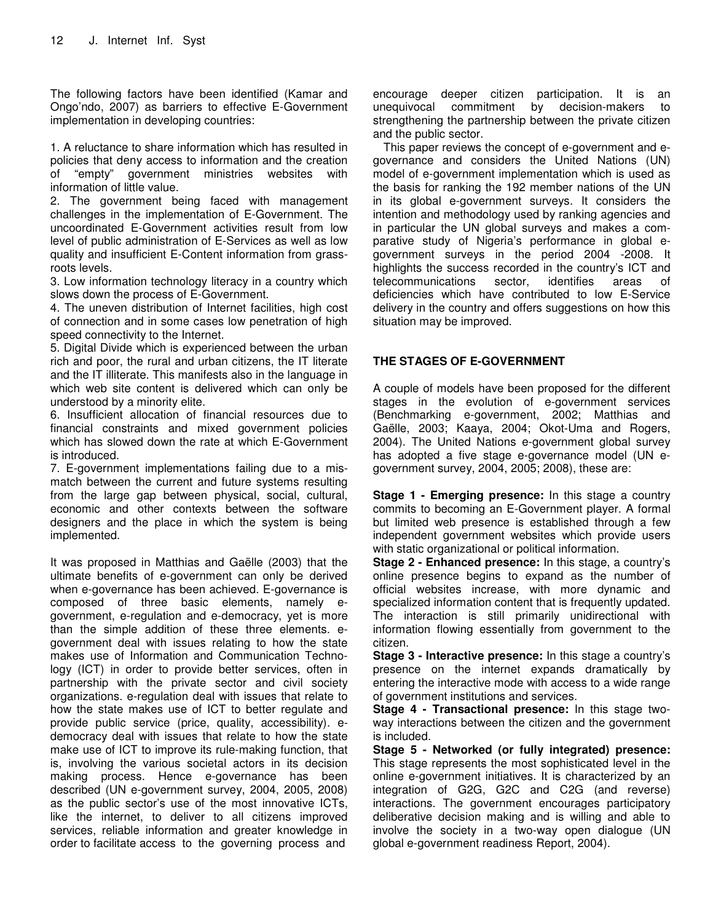The following factors have been identified (Kamar and Ongo'ndo, 2007) as barriers to effective E-Government implementation in developing countries:

1. A reluctance to share information which has resulted in policies that deny access to information and the creation of "empty" government ministries websites with information of little value.

2. The government being faced with management challenges in the implementation of E-Government. The uncoordinated E-Government activities result from low level of public administration of E-Services as well as low quality and insufficient E-Content information from grassroots levels.

3. Low information technology literacy in a country which slows down the process of E-Government.

4. The uneven distribution of Internet facilities, high cost of connection and in some cases low penetration of high speed connectivity to the Internet.

5. Digital Divide which is experienced between the urban rich and poor, the rural and urban citizens, the IT literate and the IT illiterate. This manifests also in the language in which web site content is delivered which can only be understood by a minority elite.

6. Insufficient allocation of financial resources due to financial constraints and mixed government policies which has slowed down the rate at which E-Government is introduced.

7. E-government implementations failing due to a mismatch between the current and future systems resulting from the large gap between physical, social, cultural, economic and other contexts between the software designers and the place in which the system is being implemented.

It was proposed in Matthias and Gaëlle (2003) that the ultimate benefits of e-government can only be derived when e-governance has been achieved. E-governance is composed of three basic elements, namely egovernment, e-regulation and e-democracy, yet is more than the simple addition of these three elements. egovernment deal with issues relating to how the state makes use of Information and Communication Technology (ICT) in order to provide better services, often in partnership with the private sector and civil society organizations. e-regulation deal with issues that relate to how the state makes use of ICT to better regulate and provide public service (price, quality, accessibility). edemocracy deal with issues that relate to how the state make use of ICT to improve its rule-making function, that is, involving the various societal actors in its decision making process. Hence e-governance has been described (UN e-government survey, 2004, 2005, 2008) as the public sector's use of the most innovative ICTs, like the internet, to deliver to all citizens improved services, reliable information and greater knowledge in order to facilitate access to the governing process and

encourage deeper citizen participation. It is an unequivocal commitment by decision-makers to strengthening the partnership between the private citizen and the public sector.

This paper reviews the concept of e-government and egovernance and considers the United Nations (UN) model of e-government implementation which is used as the basis for ranking the 192 member nations of the UN in its global e-government surveys. It considers the intention and methodology used by ranking agencies and in particular the UN global surveys and makes a comparative study of Nigeria's performance in global egovernment surveys in the period 2004 -2008. It highlights the success recorded in the country's ICT and telecommunications sector, identifies areas of deficiencies which have contributed to low E-Service delivery in the country and offers suggestions on how this situation may be improved.

#### **THE STAGES OF E-GOVERNMENT**

A couple of models have been proposed for the different stages in the evolution of e-government services (Benchmarking e-government, 2002; Matthias and Gaëlle, 2003; Kaaya, 2004; Okot-Uma and Rogers, 2004). The United Nations e-government global survey has adopted a five stage e-governance model (UN egovernment survey, 2004, 2005; 2008), these are:

**Stage 1 - Emerging presence:** In this stage a country commits to becoming an E-Government player. A formal but limited web presence is established through a few independent government websites which provide users with static organizational or political information.

**Stage 2 - Enhanced presence:** In this stage, a country's online presence begins to expand as the number of official websites increase, with more dynamic and specialized information content that is frequently updated. The interaction is still primarily unidirectional with information flowing essentially from government to the citizen.

**Stage 3 - Interactive presence:** In this stage a country's presence on the internet expands dramatically by entering the interactive mode with access to a wide range of government institutions and services.

**Stage 4 - Transactional presence:** In this stage twoway interactions between the citizen and the government is included.

**Stage 5 - Networked (or fully integrated) presence:** This stage represents the most sophisticated level in the online e-government initiatives. It is characterized by an integration of G2G, G2C and C2G (and reverse) interactions. The government encourages participatory deliberative decision making and is willing and able to involve the society in a two-way open dialogue (UN global e-government readiness Report, 2004).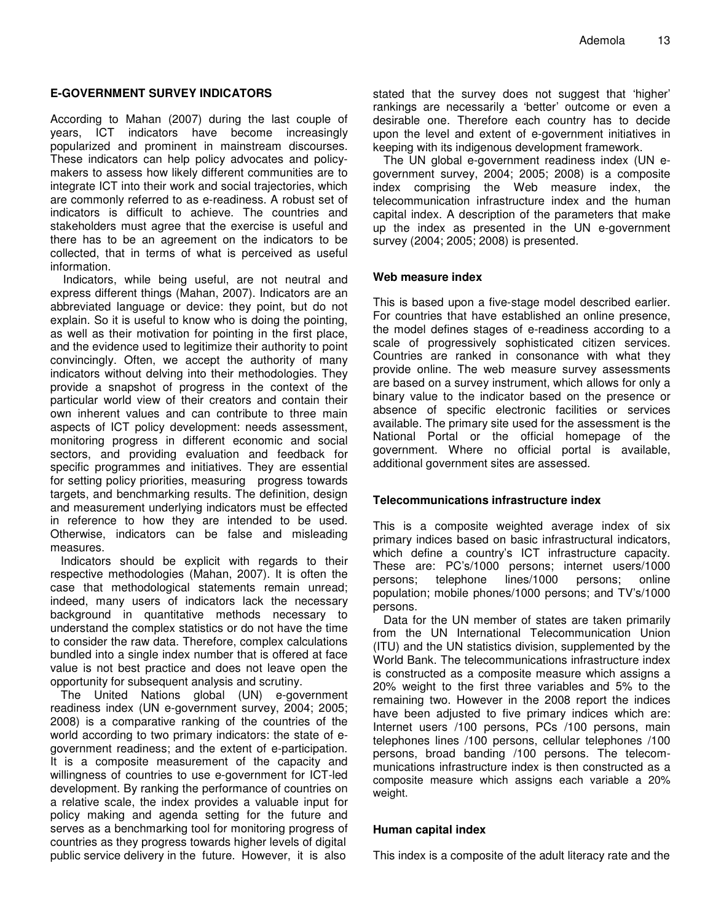#### **E-GOVERNMENT SURVEY INDICATORS**

According to Mahan (2007) during the last couple of years, ICT indicators have become increasingly popularized and prominent in mainstream discourses. These indicators can help policy advocates and policymakers to assess how likely different communities are to integrate ICT into their work and social trajectories, which are commonly referred to as e-readiness. A robust set of indicators is difficult to achieve. The countries and stakeholders must agree that the exercise is useful and there has to be an agreement on the indicators to be collected, that in terms of what is perceived as useful information.

Indicators, while being useful, are not neutral and express different things (Mahan, 2007). Indicators are an abbreviated language or device: they point, but do not explain. So it is useful to know who is doing the pointing, as well as their motivation for pointing in the first place, and the evidence used to legitimize their authority to point convincingly. Often, we accept the authority of many indicators without delving into their methodologies. They provide a snapshot of progress in the context of the particular world view of their creators and contain their own inherent values and can contribute to three main aspects of ICT policy development: needs assessment, monitoring progress in different economic and social sectors, and providing evaluation and feedback for specific programmes and initiatives. They are essential for setting policy priorities, measuring progress towards targets, and benchmarking results. The definition, design and measurement underlying indicators must be effected in reference to how they are intended to be used. Otherwise, indicators can be false and misleading measures.

Indicators should be explicit with regards to their respective methodologies (Mahan, 2007). It is often the case that methodological statements remain unread; indeed, many users of indicators lack the necessary background in quantitative methods necessary to understand the complex statistics or do not have the time to consider the raw data. Therefore, complex calculations bundled into a single index number that is offered at face value is not best practice and does not leave open the opportunity for subsequent analysis and scrutiny.

The United Nations global (UN) e-government readiness index (UN e-government survey, 2004; 2005; 2008) is a comparative ranking of the countries of the world according to two primary indicators: the state of egovernment readiness; and the extent of e-participation. It is a composite measurement of the capacity and willingness of countries to use e-government for ICT-led development. By ranking the performance of countries on a relative scale, the index provides a valuable input for policy making and agenda setting for the future and serves as a benchmarking tool for monitoring progress of countries as they progress towards higher levels of digital public service delivery in the future. However, it is also

stated that the survey does not suggest that 'higher' rankings are necessarily a 'better' outcome or even a desirable one. Therefore each country has to decide upon the level and extent of e-government initiatives in keeping with its indigenous development framework.

The UN global e-government readiness index (UN egovernment survey, 2004; 2005; 2008) is a composite index comprising the Web measure index, the telecommunication infrastructure index and the human capital index. A description of the parameters that make up the index as presented in the UN e-government survey (2004; 2005; 2008) is presented.

#### **Web measure index**

This is based upon a five-stage model described earlier. For countries that have established an online presence, the model defines stages of e-readiness according to a scale of progressively sophisticated citizen services. Countries are ranked in consonance with what they provide online. The web measure survey assessments are based on a survey instrument, which allows for only a binary value to the indicator based on the presence or absence of specific electronic facilities or services available. The primary site used for the assessment is the National Portal or the official homepage of the government. Where no official portal is available, additional government sites are assessed.

#### **Telecommunications infrastructure index**

This is a composite weighted average index of six primary indices based on basic infrastructural indicators, which define a country's ICT infrastructure capacity. These are: PC's/1000 persons; internet users/1000 persons; telephone lines/1000 persons; online population; mobile phones/1000 persons; and TV's/1000 persons.

Data for the UN member of states are taken primarily from the UN International Telecommunication Union (ITU) and the UN statistics division, supplemented by the World Bank. The telecommunications infrastructure index is constructed as a composite measure which assigns a 20% weight to the first three variables and 5% to the remaining two. However in the 2008 report the indices have been adjusted to five primary indices which are: Internet users /100 persons, PCs /100 persons, main telephones lines /100 persons, cellular telephones /100 persons, broad banding /100 persons. The telecommunications infrastructure index is then constructed as a composite measure which assigns each variable a 20% weight.

#### **Human capital index**

This index is a composite of the adult literacy rate and the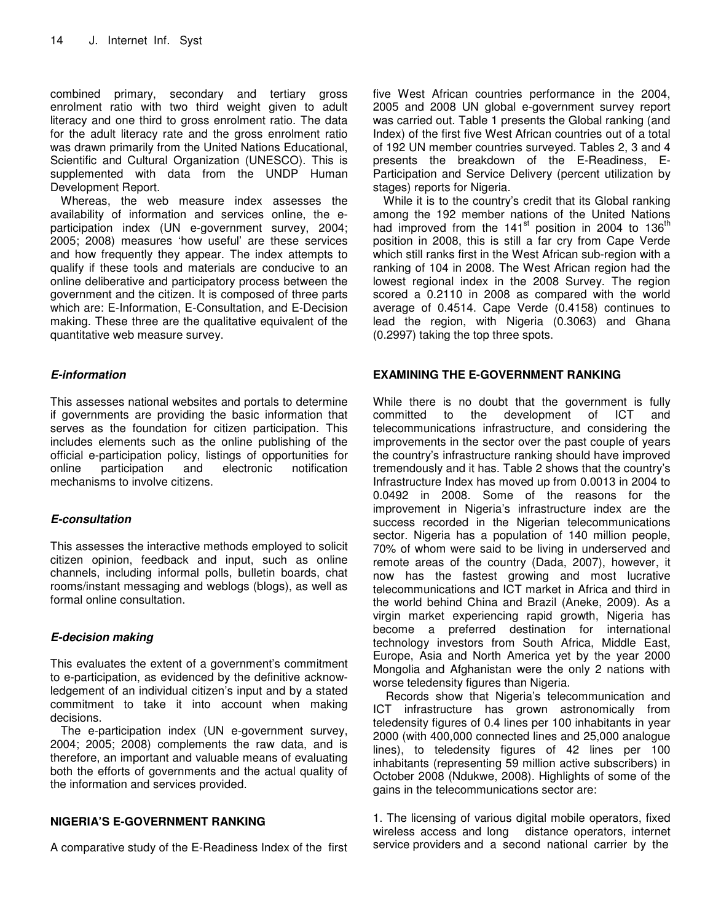combined primary, secondary and tertiary gross enrolment ratio with two third weight given to adult literacy and one third to gross enrolment ratio. The data for the adult literacy rate and the gross enrolment ratio was drawn primarily from the United Nations Educational, Scientific and Cultural Organization (UNESCO). This is supplemented with data from the UNDP Human Development Report.

Whereas, the web measure index assesses the availability of information and services online, the eparticipation index (UN e-government survey, 2004; 2005; 2008) measures 'how useful' are these services and how frequently they appear. The index attempts to qualify if these tools and materials are conducive to an online deliberative and participatory process between the government and the citizen. It is composed of three parts which are: E-Information, E-Consultation, and E-Decision making. These three are the qualitative equivalent of the quantitative web measure survey.

#### *E-information*

This assesses national websites and portals to determine if governments are providing the basic information that serves as the foundation for citizen participation. This includes elements such as the online publishing of the official e-participation policy, listings of opportunities for online participation mechanisms to involve citizens.

#### *E-consultation*

This assesses the interactive methods employed to solicit citizen opinion, feedback and input, such as online channels, including informal polls, bulletin boards, chat rooms/instant messaging and weblogs (blogs), as well as formal online consultation.

#### *E-decision making*

This evaluates the extent of a government's commitment to e-participation, as evidenced by the definitive acknowledgement of an individual citizen's input and by a stated commitment to take it into account when making decisions.

The e-participation index (UN e-government survey, 2004; 2005; 2008) complements the raw data, and is therefore, an important and valuable means of evaluating both the efforts of governments and the actual quality of the information and services provided.

#### **NIGERIA'S E-GOVERNMENT RANKING**

A comparative study of the E-Readiness Index of the first

five West African countries performance in the 2004, 2005 and 2008 UN global e-government survey report was carried out. Table 1 presents the Global ranking (and Index) of the first five West African countries out of a total of 192 UN member countries surveyed. Tables 2, 3 and 4 presents the breakdown of the E-Readiness, E-Participation and Service Delivery (percent utilization by stages) reports for Nigeria.

While it is to the country's credit that its Global ranking among the 192 member nations of the United Nations had improved from the 141<sup>st</sup> position in 2004 to 136<sup>th</sup> position in 2008, this is still a far cry from Cape Verde which still ranks first in the West African sub-region with a ranking of 104 in 2008. The West African region had the lowest regional index in the 2008 Survey. The region scored a 0.2110 in 2008 as compared with the world average of 0.4514. Cape Verde (0.4158) continues to lead the region, with Nigeria (0.3063) and Ghana (0.2997) taking the top three spots.

#### **EXAMINING THE E-GOVERNMENT RANKING**

While there is no doubt that the government is fully committed to the development of ICT and telecommunications infrastructure, and considering the improvements in the sector over the past couple of years the country's infrastructure ranking should have improved tremendously and it has. Table 2 shows that the country's Infrastructure Index has moved up from 0.0013 in 2004 to 0.0492 in 2008. Some of the reasons for the improvement in Nigeria's infrastructure index are the success recorded in the Nigerian telecommunications sector. Nigeria has a population of 140 million people, 70% of whom were said to be living in underserved and remote areas of the country (Dada, 2007), however, it now has the fastest growing and most lucrative telecommunications and ICT market in Africa and third in the world behind China and Brazil (Aneke, 2009). As a virgin market experiencing rapid growth, Nigeria has become a preferred destination for international technology investors from South Africa, Middle East, Europe, Asia and North America yet by the year 2000 Mongolia and Afghanistan were the only 2 nations with worse teledensity figures than Nigeria.

Records show that Nigeria's telecommunication and ICT infrastructure has grown astronomically from teledensity figures of 0.4 lines per 100 inhabitants in year 2000 (with 400,000 connected lines and 25,000 analogue lines), to teledensity figures of 42 lines per 100 inhabitants (representing 59 million active subscribers) in October 2008 (Ndukwe, 2008). Highlights of some of the gains in the telecommunications sector are:

1. The licensing of various digital mobile operators, fixed wireless access and long distance operators, internet service providers and a second national carrier by the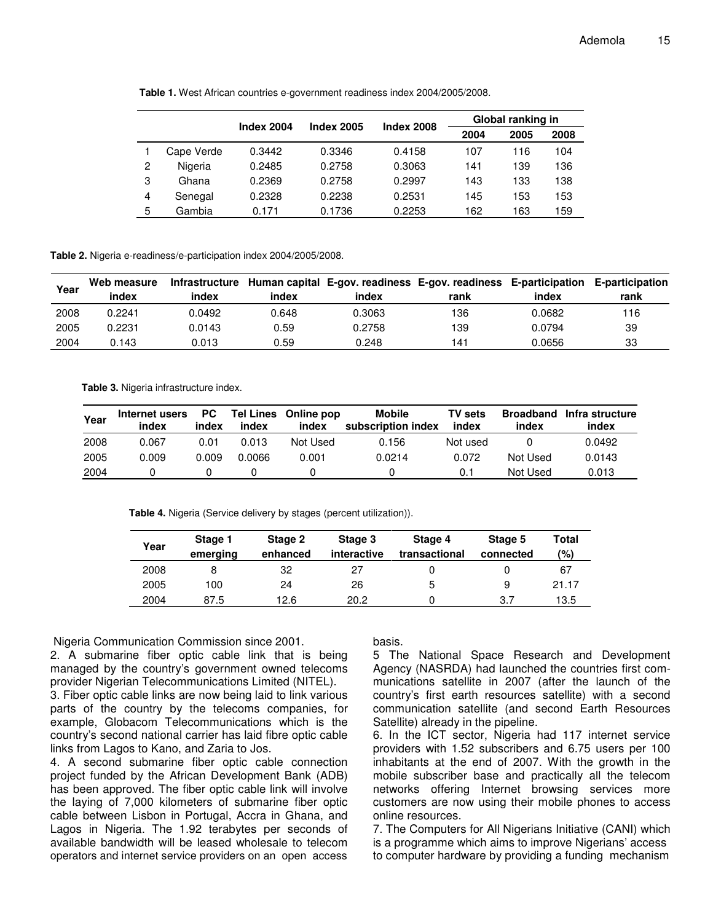|   |            |            | <b>Index 2005</b> | <b>Index 2008</b> | Global ranking in |      |      |
|---|------------|------------|-------------------|-------------------|-------------------|------|------|
|   |            | Index 2004 |                   |                   | 2004              | 2005 | 2008 |
|   | Cape Verde | 0.3442     | 0.3346            | 0.4158            | 107               | 116  | 104  |
| 2 | Nigeria    | 0.2485     | 0.2758            | 0.3063            | 141               | 139  | 136  |
| 3 | Ghana      | 0.2369     | 0.2758            | 0.2997            | 143               | 133  | 138  |
| 4 | Senegal    | 0.2328     | 0.2238            | 0.2531            | 145               | 153  | 153  |
| 5 | Gambia     | 0.171      | 0.1736            | 0.2253            | 162               | 163  | 159  |

**Table 1.** West African countries e-government readiness index 2004/2005/2008.

**Table 2.** Nigeria e-readiness/e-participation index 2004/2005/2008.

| Year | Web measure<br>index | index  | index | index  | Infrastructure Human capital E-gov. readiness E-gov. readiness E-participation E-participation<br>rank | index  | rank |
|------|----------------------|--------|-------|--------|--------------------------------------------------------------------------------------------------------|--------|------|
| 2008 | 0.2241               | 0.0492 | 0.648 | 0.3063 | 136                                                                                                    | 0.0682 | 116  |
| 2005 | 0.2231               | 0.0143 | 0.59  | 0.2758 | 139                                                                                                    | 0.0794 | 39   |
| 2004 | 0.143                | 0.013  | 0.59  | 0.248  | 141                                                                                                    | 0.0656 | 33   |

**Table 3.** Nigeria infrastructure index.

| Year | Internet users<br>index | PC<br>index | Tel Lines<br>index | Online pop<br>index | <b>Mobile</b><br>subscription index | <b>TV sets</b><br>index | index    | <b>Broadband</b> Infra structure<br>index |
|------|-------------------------|-------------|--------------------|---------------------|-------------------------------------|-------------------------|----------|-------------------------------------------|
| 2008 | 0.067                   | 0.01        | 0.013              | Not Used            | 0.156                               | Not used                |          | 0.0492                                    |
| 2005 | 0.009                   | 0.009       | 0.0066             | 0.001               | 0.0214                              | 0.072                   | Not Used | 0.0143                                    |
| 2004 |                         |             |                    |                     |                                     | 0.1                     | Not Used | 0.013                                     |

**Table 4.** Nigeria (Service delivery by stages (percent utilization)).

| Year | Stage 1<br>emerging | Stage 2<br>enhanced | Stage 3<br>interactive | Stage 4<br>transactional | Stage 5<br>connected | <b>Total</b><br>(%) |
|------|---------------------|---------------------|------------------------|--------------------------|----------------------|---------------------|
| 2008 |                     | 32                  | 27                     |                          |                      | 67                  |
| 2005 | 100                 | 24                  | 26                     | 5                        | 9                    | 21.17               |
| 2004 | 87.5                | 12.6                | 20.2                   |                          | 3.7                  | 13.5                |

Nigeria Communication Commission since 2001.

2. A submarine fiber optic cable link that is being managed by the country's government owned telecoms provider Nigerian Telecommunications Limited (NITEL).

3. Fiber optic cable links are now being laid to link various parts of the country by the telecoms companies, for example, Globacom Telecommunications which is the country's second national carrier has laid fibre optic cable links from Lagos to Kano, and Zaria to Jos.

4. A second submarine fiber optic cable connection project funded by the African Development Bank (ADB) has been approved. The fiber optic cable link will involve the laying of 7,000 kilometers of submarine fiber optic cable between Lisbon in Portugal, Accra in Ghana, and Lagos in Nigeria. The 1.92 terabytes per seconds of available bandwidth will be leased wholesale to telecom operators and internet service providers on an open access basis.

5 The National Space Research and Development Agency (NASRDA) had launched the countries first communications satellite in 2007 (after the launch of the country's first earth resources satellite) with a second communication satellite (and second Earth Resources Satellite) already in the pipeline.

6. In the ICT sector, Nigeria had 117 internet service providers with 1.52 subscribers and 6.75 users per 100 inhabitants at the end of 2007. With the growth in the mobile subscriber base and practically all the telecom networks offering Internet browsing services more customers are now using their mobile phones to access online resources.

7. The Computers for All Nigerians Initiative (CANI) which is a programme which aims to improve Nigerians' access to computer hardware by providing a funding mechanism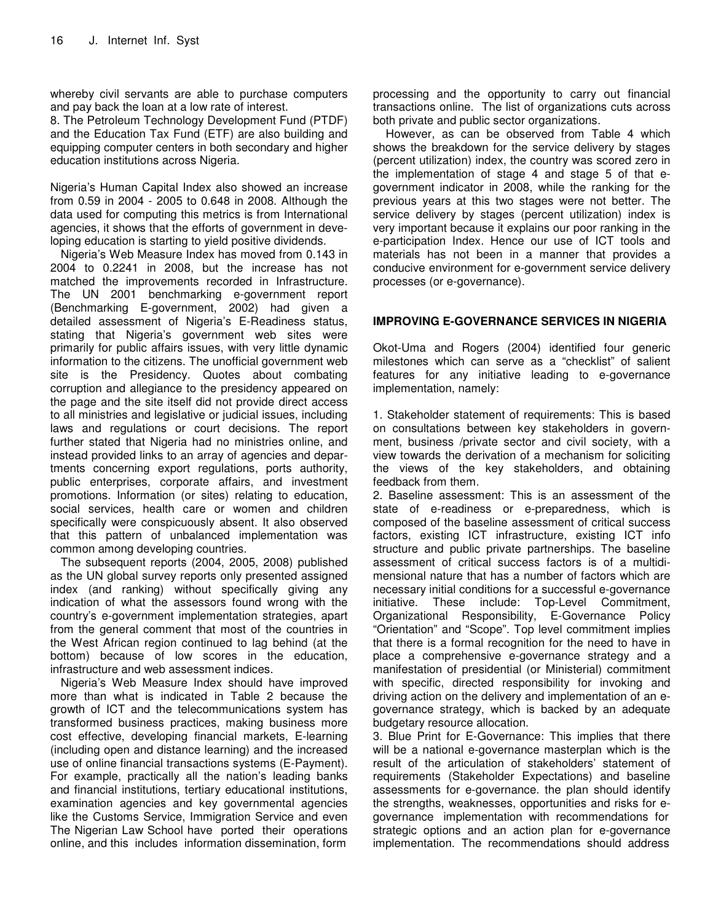whereby civil servants are able to purchase computers and pay back the loan at a low rate of interest.

8. The Petroleum Technology Development Fund (PTDF) and the Education Tax Fund (ETF) are also building and equipping computer centers in both secondary and higher education institutions across Nigeria.

Nigeria's Human Capital Index also showed an increase from 0.59 in 2004 - 2005 to 0.648 in 2008. Although the data used for computing this metrics is from International agencies, it shows that the efforts of government in developing education is starting to yield positive dividends.

Nigeria's Web Measure Index has moved from 0.143 in 2004 to 0.2241 in 2008, but the increase has not matched the improvements recorded in Infrastructure. The UN 2001 benchmarking e-government report (Benchmarking E-government, 2002) had given a detailed assessment of Nigeria's E-Readiness status, stating that Nigeria's government web sites were primarily for public affairs issues, with very little dynamic information to the citizens. The unofficial government web site is the Presidency. Quotes about combating corruption and allegiance to the presidency appeared on the page and the site itself did not provide direct access to all ministries and legislative or judicial issues, including laws and regulations or court decisions. The report further stated that Nigeria had no ministries online, and instead provided links to an array of agencies and departments concerning export regulations, ports authority, public enterprises, corporate affairs, and investment promotions. Information (or sites) relating to education, social services, health care or women and children specifically were conspicuously absent. It also observed that this pattern of unbalanced implementation was common among developing countries.

The subsequent reports (2004, 2005, 2008) published as the UN global survey reports only presented assigned index (and ranking) without specifically giving any indication of what the assessors found wrong with the country's e-government implementation strategies, apart from the general comment that most of the countries in the West African region continued to lag behind (at the bottom) because of low scores in the education, infrastructure and web assessment indices.

Nigeria's Web Measure Index should have improved more than what is indicated in Table 2 because the growth of ICT and the telecommunications system has transformed business practices, making business more cost effective, developing financial markets, E-learning (including open and distance learning) and the increased use of online financial transactions systems (E-Payment). For example, practically all the nation's leading banks and financial institutions, tertiary educational institutions, examination agencies and key governmental agencies like the Customs Service, Immigration Service and even The Nigerian Law School have ported their operations online, and this includes information dissemination, form

processing and the opportunity to carry out financial transactions online. The list of organizations cuts across both private and public sector organizations.

However, as can be observed from Table 4 which shows the breakdown for the service delivery by stages (percent utilization) index, the country was scored zero in the implementation of stage 4 and stage 5 of that egovernment indicator in 2008, while the ranking for the previous years at this two stages were not better. The service delivery by stages (percent utilization) index is very important because it explains our poor ranking in the e-participation Index. Hence our use of ICT tools and materials has not been in a manner that provides a conducive environment for e-government service delivery processes (or e-governance).

#### **IMPROVING E-GOVERNANCE SERVICES IN NIGERIA**

Okot-Uma and Rogers (2004) identified four generic milestones which can serve as a "checklist" of salient features for any initiative leading to e-governance implementation, namely:

1. Stakeholder statement of requirements: This is based on consultations between key stakeholders in government, business /private sector and civil society, with a view towards the derivation of a mechanism for soliciting the views of the key stakeholders, and obtaining feedback from them.

2. Baseline assessment: This is an assessment of the state of e-readiness or e-preparedness, which is composed of the baseline assessment of critical success factors, existing ICT infrastructure, existing ICT info structure and public private partnerships. The baseline assessment of critical success factors is of a multidimensional nature that has a number of factors which are necessary initial conditions for a successful e-governance initiative. These include: Top-Level Commitment, Organizational Responsibility, E-Governance Policy "Orientation" and "Scope". Top level commitment implies that there is a formal recognition for the need to have in place a comprehensive e-governance strategy and a manifestation of presidential (or Ministerial) commitment with specific, directed responsibility for invoking and driving action on the delivery and implementation of an egovernance strategy, which is backed by an adequate budgetary resource allocation.

3. Blue Print for E-Governance: This implies that there will be a national e-governance masterplan which is the result of the articulation of stakeholders' statement of requirements (Stakeholder Expectations) and baseline assessments for e-governance. the plan should identify the strengths, weaknesses, opportunities and risks for egovernance implementation with recommendations for strategic options and an action plan for e-governance implementation. The recommendations should address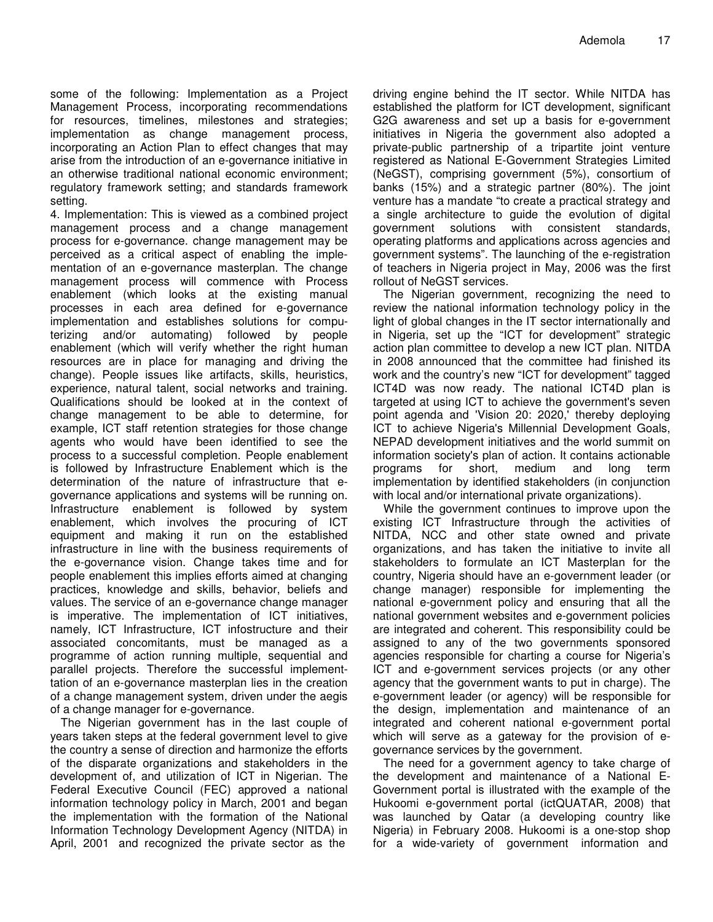some of the following: Implementation as a Project Management Process, incorporating recommendations for resources, timelines, milestones and strategies; implementation as change management process, incorporating an Action Plan to effect changes that may arise from the introduction of an e-governance initiative in an otherwise traditional national economic environment; regulatory framework setting; and standards framework setting.

4. Implementation: This is viewed as a combined project management process and a change management process for e-governance. change management may be perceived as a critical aspect of enabling the implementation of an e-governance masterplan. The change management process will commence with Process enablement (which looks at the existing manual processes in each area defined for e-governance implementation and establishes solutions for computerizing and/or automating) followed by people enablement (which will verify whether the right human resources are in place for managing and driving the change). People issues like artifacts, skills, heuristics, experience, natural talent, social networks and training. Qualifications should be looked at in the context of change management to be able to determine, for example, ICT staff retention strategies for those change agents who would have been identified to see the process to a successful completion. People enablement is followed by Infrastructure Enablement which is the determination of the nature of infrastructure that egovernance applications and systems will be running on. Infrastructure enablement is followed by system enablement, which involves the procuring of ICT equipment and making it run on the established infrastructure in line with the business requirements of the e-governance vision. Change takes time and for people enablement this implies efforts aimed at changing practices, knowledge and skills, behavior, beliefs and values. The service of an e-governance change manager is imperative. The implementation of ICT initiatives, namely, ICT Infrastructure, ICT infostructure and their associated concomitants, must be managed as a programme of action running multiple, sequential and parallel projects. Therefore the successful implementtation of an e-governance masterplan lies in the creation of a change management system, driven under the aegis of a change manager for e-governance.

The Nigerian government has in the last couple of years taken steps at the federal government level to give the country a sense of direction and harmonize the efforts of the disparate organizations and stakeholders in the development of, and utilization of ICT in Nigerian. The Federal Executive Council (FEC) approved a national information technology policy in March, 2001 and began the implementation with the formation of the National Information Technology Development Agency (NITDA) in April, 2001 and recognized the private sector as the

driving engine behind the IT sector. While NITDA has established the platform for ICT development, significant G2G awareness and set up a basis for e-government initiatives in Nigeria the government also adopted a private-public partnership of a tripartite joint venture registered as National E-Government Strategies Limited (NeGST), comprising government (5%), consortium of banks (15%) and a strategic partner (80%). The joint venture has a mandate "to create a practical strategy and a single architecture to guide the evolution of digital government solutions with consistent standards, operating platforms and applications across agencies and government systems". The launching of the e-registration of teachers in Nigeria project in May, 2006 was the first rollout of NeGST services.

The Nigerian government, recognizing the need to review the national information technology policy in the light of global changes in the IT sector internationally and in Nigeria, set up the "ICT for development" strategic action plan committee to develop a new ICT plan. NITDA in 2008 announced that the committee had finished its work and the country's new "ICT for development" tagged ICT4D was now ready. The national ICT4D plan is targeted at using ICT to achieve the government's seven point agenda and 'Vision 20: 2020,' thereby deploying ICT to achieve Nigeria's Millennial Development Goals, NEPAD development initiatives and the world summit on information society's plan of action. It contains actionable programs for short, medium and long term implementation by identified stakeholders (in conjunction with local and/or international private organizations).

While the government continues to improve upon the existing ICT Infrastructure through the activities of NITDA, NCC and other state owned and private organizations, and has taken the initiative to invite all stakeholders to formulate an ICT Masterplan for the country, Nigeria should have an e-government leader (or change manager) responsible for implementing the national e-government policy and ensuring that all the national government websites and e-government policies are integrated and coherent. This responsibility could be assigned to any of the two governments sponsored agencies responsible for charting a course for Nigeria's ICT and e-government services projects (or any other agency that the government wants to put in charge). The e-government leader (or agency) will be responsible for the design, implementation and maintenance of an integrated and coherent national e-government portal which will serve as a gateway for the provision of egovernance services by the government.

The need for a government agency to take charge of the development and maintenance of a National E-Government portal is illustrated with the example of the Hukoomi e-government portal (ictQUATAR, 2008) that was launched by Qatar (a developing country like Nigeria) in February 2008. Hukoomi is a one-stop shop for a wide-variety of government information and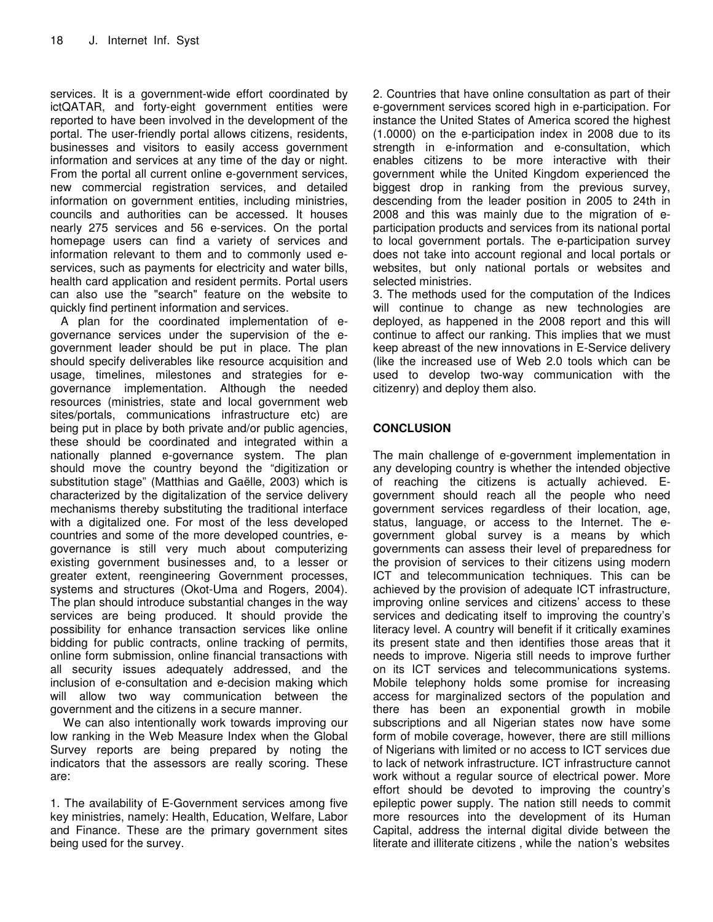services. It is a government-wide effort coordinated by ictQATAR, and forty-eight government entities were reported to have been involved in the development of the portal. The user-friendly portal allows citizens, residents, businesses and visitors to easily access government information and services at any time of the day or night. From the portal all current online e-government services, new commercial registration services, and detailed information on government entities, including ministries, councils and authorities can be accessed. It houses nearly 275 services and 56 e-services. On the portal homepage users can find a variety of services and information relevant to them and to commonly used eservices, such as payments for electricity and water bills, health card application and resident permits. Portal users can also use the "search" feature on the website to quickly find pertinent information and services.

A plan for the coordinated implementation of egovernance services under the supervision of the egovernment leader should be put in place. The plan should specify deliverables like resource acquisition and usage, timelines, milestones and strategies for egovernance implementation. Although the needed resources (ministries, state and local government web sites/portals, communications infrastructure etc) are being put in place by both private and/or public agencies, these should be coordinated and integrated within a nationally planned e-governance system. The plan should move the country beyond the "digitization or substitution stage" (Matthias and Gaëlle, 2003) which is characterized by the digitalization of the service delivery mechanisms thereby substituting the traditional interface with a digitalized one. For most of the less developed countries and some of the more developed countries, egovernance is still very much about computerizing existing government businesses and, to a lesser or greater extent, reengineering Government processes, systems and structures (Okot-Uma and Rogers, 2004). The plan should introduce substantial changes in the way services are being produced. It should provide the possibility for enhance transaction services like online bidding for public contracts, online tracking of permits, online form submission, online financial transactions with all security issues adequately addressed, and the inclusion of e-consultation and e-decision making which will allow two way communication between the government and the citizens in a secure manner.

We can also intentionally work towards improving our low ranking in the Web Measure Index when the Global Survey reports are being prepared by noting the indicators that the assessors are really scoring. These are:

1. The availability of E-Government services among five key ministries, namely: Health, Education, Welfare, Labor and Finance. These are the primary government sites being used for the survey.

2. Countries that have online consultation as part of their e-government services scored high in e-participation. For instance the United States of America scored the highest (1.0000) on the e-participation index in 2008 due to its strength in e-information and e-consultation, which enables citizens to be more interactive with their government while the United Kingdom experienced the biggest drop in ranking from the previous survey, descending from the leader position in 2005 to 24th in 2008 and this was mainly due to the migration of eparticipation products and services from its national portal to local government portals. The e-participation survey does not take into account regional and local portals or websites, but only national portals or websites and selected ministries.

3. The methods used for the computation of the Indices will continue to change as new technologies are deployed, as happened in the 2008 report and this will continue to affect our ranking. This implies that we must keep abreast of the new innovations in E-Service delivery (like the increased use of Web 2.0 tools which can be used to develop two-way communication with the citizenry) and deploy them also.

#### **CONCLUSION**

The main challenge of e-government implementation in any developing country is whether the intended objective of reaching the citizens is actually achieved. Egovernment should reach all the people who need government services regardless of their location, age, status, language, or access to the Internet. The egovernment global survey is a means by which governments can assess their level of preparedness for the provision of services to their citizens using modern ICT and telecommunication techniques. This can be achieved by the provision of adequate ICT infrastructure, improving online services and citizens' access to these services and dedicating itself to improving the country's literacy level. A country will benefit if it critically examines its present state and then identifies those areas that it needs to improve. Nigeria still needs to improve further on its ICT services and telecommunications systems. Mobile telephony holds some promise for increasing access for marginalized sectors of the population and there has been an exponential growth in mobile subscriptions and all Nigerian states now have some form of mobile coverage, however, there are still millions of Nigerians with limited or no access to ICT services due to lack of network infrastructure. ICT infrastructure cannot work without a regular source of electrical power. More effort should be devoted to improving the country's epileptic power supply. The nation still needs to commit more resources into the development of its Human Capital, address the internal digital divide between the literate and illiterate citizens , while the nation's websites